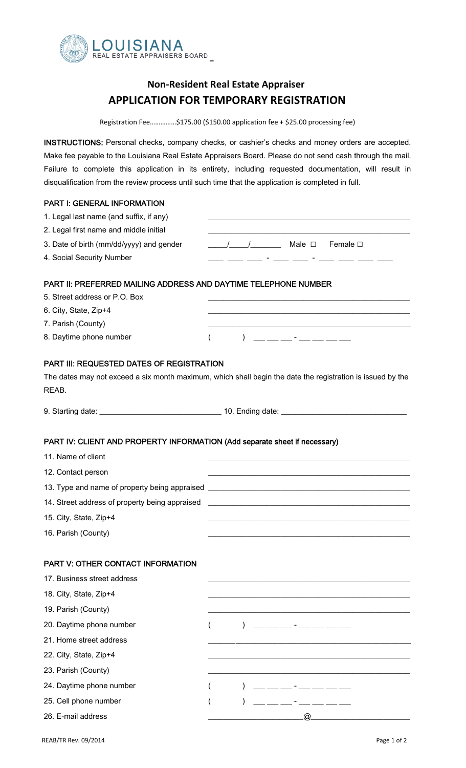

## **Non‐Resident Real Estate Appraiser APPLICATION FOR TEMPORARY REGISTRATION**

Registration Fee……………\$175.00 (\$150.00 application fee + \$25.00 processing fee)

INSTRUCTIONS: Personal checks, company checks, or cashier's checks and money orders are accepted. Make fee payable to the Louisiana Real Estate Appraisers Board. Please do not send cash through the mail. Failure to complete this application in its entirety, including requested documentation, will result in disqualification from the review process until such time that the application is completed in full.

## PART I: GENERAL INFORMATION

| 1. Legal last name (and suffix, if any)                                    |                                                                                                                                                                                                                                      |
|----------------------------------------------------------------------------|--------------------------------------------------------------------------------------------------------------------------------------------------------------------------------------------------------------------------------------|
| 2. Legal first name and middle initial                                     |                                                                                                                                                                                                                                      |
| 3. Date of birth (mm/dd/yyyy) and gender                                   | <u>____/____/</u> _________ Male □ Female □                                                                                                                                                                                          |
| 4. Social Security Number                                                  | <u> 1999 - Jan Harry John Harry John Harry John Harry John Harry John Harry John Harry John Harry John Harry John Harry John Harry John Harry John Harry John Harry John Harry John Harry John Harry John Harry John Harry John </u> |
| PART II: PREFERRED MAILING ADDRESS AND DAYTIME TELEPHONE NUMBER            |                                                                                                                                                                                                                                      |
| 5. Street address or P.O. Box                                              | <u> 1989 - Johann John Stein, markin fizik mendekan bestehen dan bestehen dan bestehen dan bestehen dan bestehen</u>                                                                                                                 |
| 6. City, State, Zip+4                                                      |                                                                                                                                                                                                                                      |
| 7. Parish (County)                                                         |                                                                                                                                                                                                                                      |
| 8. Daytime phone number                                                    |                                                                                                                                                                                                                                      |
| <b>PART III: REQUESTED DATES OF REGISTRATION</b>                           |                                                                                                                                                                                                                                      |
|                                                                            | The dates may not exceed a six month maximum, which shall begin the date the registration is issued by the                                                                                                                           |
| REAB.                                                                      |                                                                                                                                                                                                                                      |
|                                                                            |                                                                                                                                                                                                                                      |
|                                                                            |                                                                                                                                                                                                                                      |
| PART IV: CLIENT AND PROPERTY INFORMATION (Add separate sheet if necessary) |                                                                                                                                                                                                                                      |
| 11. Name of client                                                         |                                                                                                                                                                                                                                      |
| 12. Contact person                                                         |                                                                                                                                                                                                                                      |
|                                                                            | 13. Type and name of property being appraised ___________________________________                                                                                                                                                    |
| 14. Street address of property being appraised                             | <u> 1980 - Jan Samuel Barbara, margaret e popularista e popularista e popularista e popularista e popularista e</u>                                                                                                                  |
| 15. City, State, Zip+4                                                     |                                                                                                                                                                                                                                      |
| 16. Parish (County)                                                        |                                                                                                                                                                                                                                      |
|                                                                            |                                                                                                                                                                                                                                      |
| PART V: OTHER CONTACT INFORMATION                                          |                                                                                                                                                                                                                                      |
| 17. Business street address                                                |                                                                                                                                                                                                                                      |
| 18. City, State, Zip+4                                                     |                                                                                                                                                                                                                                      |
| 19. Parish (County)                                                        |                                                                                                                                                                                                                                      |
| 20. Daytime phone number                                                   |                                                                                                                                                                                                                                      |
| 21. Home street address                                                    |                                                                                                                                                                                                                                      |
| 22. City, State, Zip+4                                                     |                                                                                                                                                                                                                                      |
| 23. Parish (County)                                                        |                                                                                                                                                                                                                                      |
| 24. Daytime phone number                                                   |                                                                                                                                                                                                                                      |
| 25. Cell phone number                                                      |                                                                                                                                                                                                                                      |

26. E-mail address 26. E-mail address 26. E-mail address 26. E-mail and the state of the state of the state of the state of the state of the state of the state of the state of the state of the state of the state of the sta